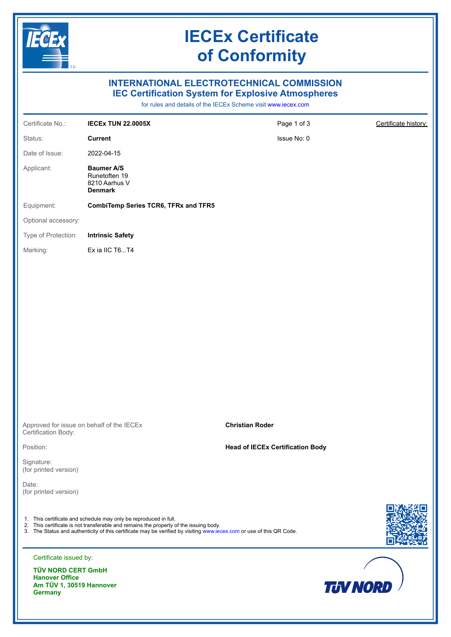

# **IECEx Certificate of Conformity**

# **INTERNATIONAL ELECTROTECHNICAL COMMISSION IEC Certification System for Explosive Atmospheres**

for rules and details of the IECEx Scheme visit [www.iecex.com](https://www.iecex.com)

| Certificate No.:                                   | <b>IECEX TUN 22.0005X</b>                                                                                                                                                                                                                                                         | Page 1 of 3                             | Certificate history: |
|----------------------------------------------------|-----------------------------------------------------------------------------------------------------------------------------------------------------------------------------------------------------------------------------------------------------------------------------------|-----------------------------------------|----------------------|
| Status:                                            | <b>Current</b>                                                                                                                                                                                                                                                                    | Issue No: 0                             |                      |
| Date of Issue:                                     | 2022-04-15                                                                                                                                                                                                                                                                        |                                         |                      |
| Applicant:                                         | <b>Baumer A/S</b><br>Runetoften 19<br>8210 Aarhus V<br><b>Denmark</b>                                                                                                                                                                                                             |                                         |                      |
| Equipment:                                         | <b>CombiTemp Series TCR6, TFRx and TFR5</b>                                                                                                                                                                                                                                       |                                         |                      |
| Optional accessory:                                |                                                                                                                                                                                                                                                                                   |                                         |                      |
| Type of Protection:                                | <b>Intrinsic Safety</b>                                                                                                                                                                                                                                                           |                                         |                      |
| Marking:                                           | Ex ia IIC T6T4                                                                                                                                                                                                                                                                    |                                         |                      |
|                                                    |                                                                                                                                                                                                                                                                                   |                                         |                      |
|                                                    |                                                                                                                                                                                                                                                                                   |                                         |                      |
|                                                    |                                                                                                                                                                                                                                                                                   |                                         |                      |
|                                                    |                                                                                                                                                                                                                                                                                   |                                         |                      |
|                                                    |                                                                                                                                                                                                                                                                                   |                                         |                      |
|                                                    |                                                                                                                                                                                                                                                                                   |                                         |                      |
|                                                    |                                                                                                                                                                                                                                                                                   |                                         |                      |
|                                                    |                                                                                                                                                                                                                                                                                   |                                         |                      |
|                                                    |                                                                                                                                                                                                                                                                                   |                                         |                      |
| Certification Body:                                | Approved for issue on behalf of the IECEx                                                                                                                                                                                                                                         | <b>Christian Roder</b>                  |                      |
| Position:                                          |                                                                                                                                                                                                                                                                                   | <b>Head of IECEx Certification Body</b> |                      |
| Signature:<br>(for printed version)                |                                                                                                                                                                                                                                                                                   |                                         |                      |
| Date:<br>(for printed version)                     |                                                                                                                                                                                                                                                                                   |                                         |                      |
|                                                    |                                                                                                                                                                                                                                                                                   |                                         |                      |
|                                                    | 1. This certificate and schedule may only be reproduced in full.<br>2. This certificate is not transferable and remains the property of the issuing body.<br>3. The Status and authenticity of this certificate may be verified by visiting www.iecex.com or use of this QR Code. |                                         |                      |
| Certificate issued by:                             |                                                                                                                                                                                                                                                                                   |                                         |                      |
| <b>TÜV NORD CERT GmbH</b><br><b>Hanover Office</b> |                                                                                                                                                                                                                                                                                   |                                         |                      |
| Am TÜV 1, 30519 Hannover<br><b>Germany</b>         |                                                                                                                                                                                                                                                                                   | <b>TJV NORD</b>                         |                      |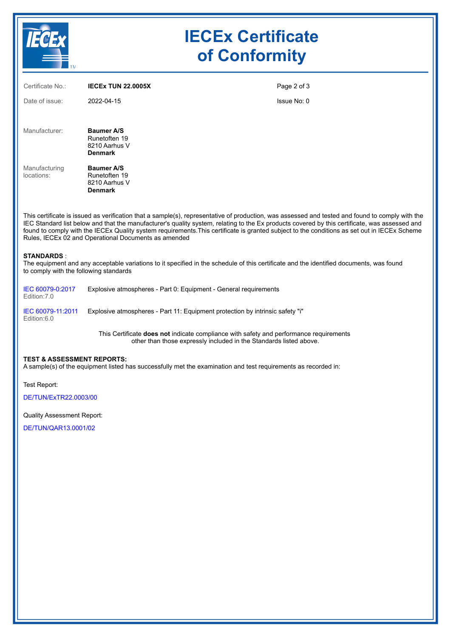| <b>TM</b>                   |                                                                       | <b>IECEx Certificate</b><br>of Conformity |  |
|-----------------------------|-----------------------------------------------------------------------|-------------------------------------------|--|
| Certificate No.:            | <b>IECEX TUN 22.0005X</b>                                             | Page 2 of 3                               |  |
| Date of issue:              | 2022-04-15                                                            | Issue No: 0                               |  |
| Manufacturer:               | <b>Baumer A/S</b><br>Runetoften 19<br>8210 Aarhus V<br><b>Denmark</b> |                                           |  |
| Manufacturing<br>locations: | <b>Baumer A/S</b><br>Runetoften 19<br>8210 Aarhus V<br><b>Denmark</b> |                                           |  |

This certificate is issued as verification that a sample(s), representative of production, was assessed and tested and found to comply with the IEC Standard list below and that the manufacturer's quality system, relating to the Ex products covered by this certificate, was assessed and found to comply with the IECEx Quality system requirements.This certificate is granted subject to the conditions as set out in IECEx Scheme Rules, IECEx 02 and Operational Documents as amended

#### **STANDARDS** :

The equipment and any acceptable variations to it specified in the schedule of this certificate and the identified documents, was found to comply with the following standards

| IEC 60079-0:2017<br>Edition:7.0  | Explosive atmospheres - Part 0: Equipment - General requirements              |
|----------------------------------|-------------------------------------------------------------------------------|
| IEC 60079-11:2011<br>Edition:6.0 | Explosive atmospheres - Part 11: Equipment protection by intrinsic safety "i" |

This Certificate **does not** indicate compliance with safety and performance requirements other than those expressly included in the Standards listed above.

#### **TEST & ASSESSMENT REPORTS:**

A sample(s) of the equipment listed has successfully met the examination and test requirements as recorded in:

Test Report:

[DE/TUN/ExTR22.0003/00](https://www.iecex-certs.com/#/deliverables/REPORT/81537/view)

Quality Assessment Report:

[DE/TUN/QAR13.0001/02](https://www.iecex-certs.com/#/deliverables/REPORT/44712/view)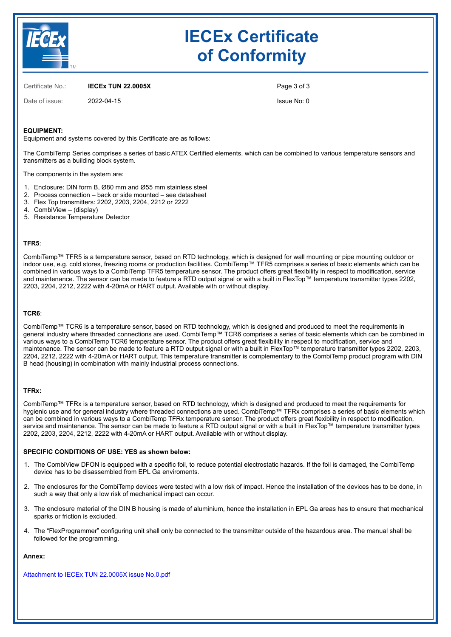

# **IECEx Certificate of Conformity**

Certificate No.: **IECEx TUN 22.0005X**

Date of issue: 2022-04-15

Page 3 of 3 Issue No: 0

## **EQUIPMENT:**

Equipment and systems covered by this Certificate are as follows:

The CombiTemp Series comprises a series of basic ATEX Certified elements, which can be combined to various temperature sensors and transmitters as a building block system.

The components in the system are:

- 1. Enclosure: DIN form B, Ø80 mm and Ø55 mm stainless steel
- 2. Process connection back or side mounted see datasheet
- 3. Flex Top transmitters: 2202, 2203, 2204, 2212 or 2222
- 4. CombiView (display)
- 5. Resistance Temperature Detector

### **TFR5**:

CombiTemp™ TFR5 is a temperature sensor, based on RTD technology, which is designed for wall mounting or pipe mounting outdoor or indoor use, e.g. cold stores, freezing rooms or production facilities. CombiTemp™ TFR5 comprises a series of basic elements which can be combined in various ways to a CombiTemp TFR5 temperature sensor. The product offers great flexibility in respect to modification, service and maintenance. The sensor can be made to feature a RTD output signal or with a built in FlexTop™ temperature transmitter types 2202, 2203, 2204, 2212, 2222 with 4-20mA or HART output. Available with or without display.

#### **TCR6**:

CombiTemp™ TCR6 is a temperature sensor, based on RTD technology, which is designed and produced to meet the requirements in general industry where threaded connections are used. CombiTemp™ TCR6 comprises a series of basic elements which can be combined in various ways to a CombiTemp TCR6 temperature sensor. The product offers great flexibility in respect to modification, service and maintenance. The sensor can be made to feature a RTD output signal or with a built in FlexTop™ temperature transmitter types 2202, 2203, 2204, 2212, 2222 with 4-20mA or HART output. This temperature transmitter is complementary to the CombiTemp product program with DIN B head (housing) in combination with mainly industrial process connections.

## **TFRx:**

CombiTemp™ TFRx is a temperature sensor, based on RTD technology, which is designed and produced to meet the requirements for hygienic use and for general industry where threaded connections are used. CombiTemp™ TFRx comprises a series of basic elements which can be combined in various ways to a CombiTemp TFRx temperature sensor. The product offers great flexibility in respect to modification, service and maintenance. The sensor can be made to feature a RTD output signal or with a built in FlexTop™ temperature transmitter types 2202, 2203, 2204, 2212, 2222 with 4-20mA or HART output. Available with or without display.

#### **SPECIFIC CONDITIONS OF USE: YES as shown below:**

- 1. The CombiView DFON is equipped with a specific foil, to reduce potential electrostatic hazards. If the foil is damaged, the CombiTemp device has to be disassembled from EPL Ga enviroments.
- 2. The enclosures for the CombiTemp devices were tested with a low risk of impact. Hence the installation of the devices has to be done, in such a way that only a low risk of mechanical impact can occur.
- 3. The enclosure material of the DIN B housing is made of aluminium, hence the installation in EPL Ga areas has to ensure that mechanical sparks or friction is excluded.
- 4. The "FlexProgrammer" configuring unit shall only be connected to the transmitter outside of the hazardous area. The manual shall be followed for the programming.

#### **Annex:**

[Attachment to IECEx TUN 22.0005X issue No.0.pdf](https://www.iecex-certs.com/#/deliverables/CERT/59586/view)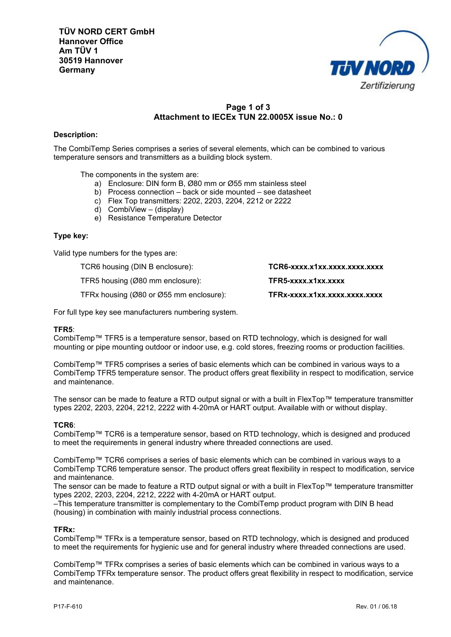

# **Page 1 of 3 Attachment to IECEx TUN 22.0005X issue No.: 0**

## **Description:**

The CombiTemp Series comprises a series of several elements, which can be combined to various temperature sensors and transmitters as a building block system.

The components in the system are:

- a) Enclosure: DIN form B, Ø80 mm or Ø55 mm stainless steel
- b) Process connection back or side mounted see datasheet
- c) Flex Top transmitters: 2202, 2203, 2204, 2212 or 2222
- d) CombiView (display)
- e) Resistance Temperature Detector

## **Type key:**

Valid type numbers for the types are:

TCR6 housing (DIN B enclosure): **TCR6-xxxx.x1xx.xxxx.xxxx.xxxx** TFR5 housing (Ø80 mm enclosure): **TFR5-xxxx.x1xx.xxxx** TFRx housing (Ø80 or Ø55 mm enclosure): **TFRx-xxxx.x1xx.xxxx.xxxx.xxxx**

For full type key see manufacturers numbering system.

## **TFR5**:

CombiTemp™ TFR5 is a temperature sensor, based on RTD technology, which is designed for wall mounting or pipe mounting outdoor or indoor use, e.g. cold stores, freezing rooms or production facilities.

CombiTemp™ TFR5 comprises a series of basic elements which can be combined in various ways to a CombiTemp TFR5 temperature sensor. The product offers great flexibility in respect to modification, service and maintenance.

The sensor can be made to feature a RTD output signal or with a built in FlexTop™ temperature transmitter types 2202, 2203, 2204, 2212, 2222 with 4-20mA or HART output. Available with or without display.

## **TCR6**:

CombiTemp™ TCR6 is a temperature sensor, based on RTD technology, which is designed and produced to meet the requirements in general industry where threaded connections are used.

CombiTemp™ TCR6 comprises a series of basic elements which can be combined in various ways to a CombiTemp TCR6 temperature sensor. The product offers great flexibility in respect to modification, service and maintenance.

The sensor can be made to feature a RTD output signal or with a built in FlexTop™ temperature transmitter types 2202, 2203, 2204, 2212, 2222 with 4-20mA or HART output.

–This temperature transmitter is complementary to the CombiTemp product program with DIN B head (housing) in combination with mainly industrial process connections.

## **TFRx:**

CombiTemp™ TFRx is a temperature sensor, based on RTD technology, which is designed and produced to meet the requirements for hygienic use and for general industry where threaded connections are used.

CombiTemp™ TFRx comprises a series of basic elements which can be combined in various ways to a CombiTemp TFRx temperature sensor. The product offers great flexibility in respect to modification, service and maintenance.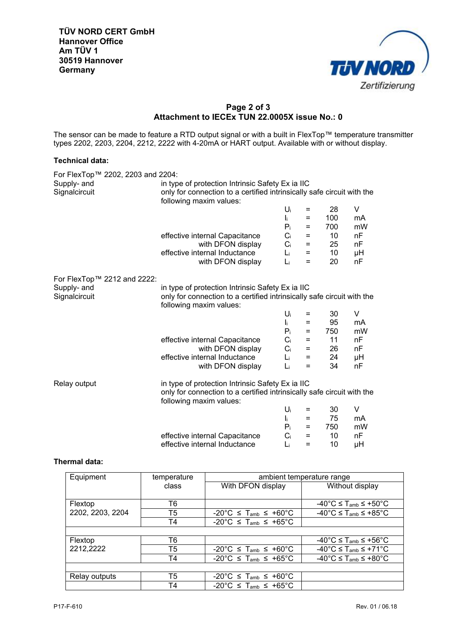

## **Page 2 of 3 Attachment to IECEx TUN 22.0005X issue No.: 0**

The sensor can be made to feature a RTD output signal or with a built in FlexTop™ temperature transmitter types 2202, 2203, 2204, 2212, 2222 with 4-20mA or HART output. Available with or without display.

## **Technical data:**

| For FlexTop™ 2202, 2203 and 2204: |                                                                                                                            |                           |          |                 |    |  |
|-----------------------------------|----------------------------------------------------------------------------------------------------------------------------|---------------------------|----------|-----------------|----|--|
| Supply- and                       | in type of protection Intrinsic Safety Ex ia IIC                                                                           |                           |          |                 |    |  |
| Signalcircuit                     | only for connection to a certified intrinsically safe circuit with the                                                     |                           |          |                 |    |  |
|                                   | following maxim values:                                                                                                    |                           |          |                 |    |  |
|                                   |                                                                                                                            | $U_i$                     | $=$      | 28              | V  |  |
|                                   |                                                                                                                            | $\mathbf{I}_{\mathbf{i}}$ | Ξ        | 100             | mA |  |
|                                   |                                                                                                                            | $P_i$                     | Ξ        | 700             | mW |  |
|                                   | effective internal Capacitance                                                                                             | $C_i$                     | =        | 10 <sup>°</sup> | nF |  |
|                                   | with DFON display                                                                                                          | $C_i$                     | $=$      | 25              | nF |  |
|                                   | effective internal Inductance                                                                                              | L <sub>i</sub>            | $\equiv$ | 10 <sup>°</sup> | μH |  |
|                                   | with DFON display                                                                                                          | Li                        | $=$      | 20              | nF |  |
|                                   |                                                                                                                            |                           |          |                 |    |  |
| For FlexTop™ 2212 and 2222:       |                                                                                                                            |                           |          |                 |    |  |
| Supply- and                       | in type of protection Intrinsic Safety Ex ia IIC                                                                           |                           |          |                 |    |  |
| Signalcircuit                     | only for connection to a certified intrinsically safe circuit with the                                                     |                           |          |                 |    |  |
|                                   | following maxim values:                                                                                                    |                           |          |                 |    |  |
|                                   |                                                                                                                            | $U_i$                     | $=$      | 30              | V  |  |
|                                   |                                                                                                                            | $\mathbf{I}_{\mathbf{i}}$ | $=$      | 95              | mA |  |
|                                   |                                                                                                                            | $P_i$                     | Ξ        | 750             | mW |  |
|                                   | effective internal Capacitance                                                                                             | $C_i$                     | $=$      | 11              | nF |  |
|                                   | with DFON display                                                                                                          | $C_i$                     | $\equiv$ | 26              | nF |  |
|                                   | effective internal Inductance                                                                                              | L <sub>i</sub>            | $=$      | 24              | μH |  |
|                                   | with DFON display                                                                                                          | Li                        | $=$      | 34              | nF |  |
|                                   |                                                                                                                            |                           |          |                 |    |  |
| Relay output                      | in type of protection Intrinsic Safety Ex ia IIC<br>only for connection to a certified intrinsically safe circuit with the |                           |          |                 |    |  |
|                                   | following maxim values:                                                                                                    |                           |          |                 |    |  |
|                                   |                                                                                                                            | $U_i$                     | $=$      | 30              | V  |  |
|                                   |                                                                                                                            | $\mathbf{I}_{\mathbf{i}}$ | Ξ        | 75              | mA |  |
|                                   |                                                                                                                            | $P_i$                     | $=$      | 750             | mW |  |
|                                   | effective internal Capacitance                                                                                             | $C_i$                     | Ξ        | 10              | nF |  |
|                                   | effective internal Inductance                                                                                              | Li                        | Ξ        | 10              | μH |  |

## **Thermal data:**

| Equipment        | temperature | ambient temperature range                                       |                                                                 |  |
|------------------|-------------|-----------------------------------------------------------------|-----------------------------------------------------------------|--|
|                  | class       | With DFON display                                               | Without display                                                 |  |
|                  |             |                                                                 |                                                                 |  |
| Flextop          | T6          |                                                                 | $-40^{\circ}$ C $\leq$ T <sub>amb</sub> $\leq$ +50 $^{\circ}$ C |  |
| 2202, 2203, 2204 | T5          | $-20^{\circ}$ C $\leq$ T <sub>amb</sub> $\leq$ +60°C            | $-40^{\circ}$ C $\leq$ T <sub>amb</sub> $\leq$ +85 $^{\circ}$ C |  |
|                  | T4          | $-20^{\circ}$ C $\leq$ T <sub>amb</sub> $\leq$ +65°C            |                                                                 |  |
|                  |             |                                                                 |                                                                 |  |
| Flextop          | T6          |                                                                 | $-40^{\circ}$ C $\leq$ T <sub>amb</sub> $\leq$ +56 $^{\circ}$ C |  |
| 2212,2222        | T5          | $-20^{\circ}$ C $\leq$ T <sub>amb</sub> $\leq$ +60 $^{\circ}$ C | $-40^{\circ}$ C $\leq$ T <sub>amb</sub> $\leq$ +71 $^{\circ}$ C |  |
|                  | Τ4          | $-20^{\circ}$ C $\leq$ T <sub>amb</sub> $\leq$ +65°C            | $-40^{\circ}$ C $\leq$ T <sub>amb</sub> $\leq$ +80 $^{\circ}$ C |  |
|                  |             |                                                                 |                                                                 |  |
| Relay outputs    | T5          | $-20^{\circ}$ C $\leq$ T <sub>amb</sub> $\leq$ +60 $^{\circ}$ C |                                                                 |  |
|                  | T4          | $-20^{\circ}$ C $\leq$ T <sub>amb</sub> $\leq$ +65°C            |                                                                 |  |